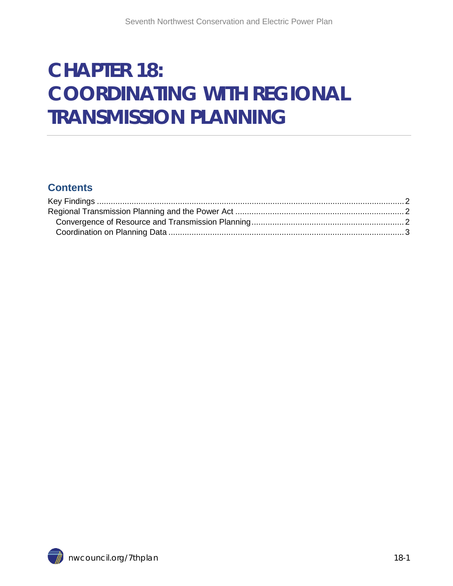# **CHAPTER 18: COORDINATING WITH REGIONAL TRANSMISSION PLANNING**

#### **Contents**

<span id="page-0-0"></span>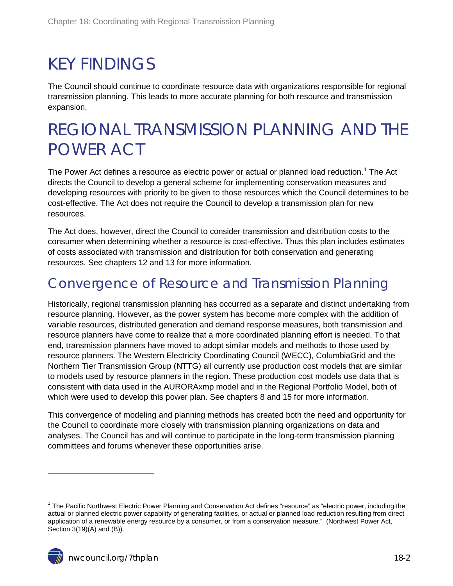# <span id="page-1-0"></span>KEY FINDINGS

The Council should continue to coordinate resource data with organizations responsible for regional transmission planning. This leads to more accurate planning for both resource and transmission expansion.

## <span id="page-1-1"></span>REGIONAL TRANSMISSION PLANNING AND THE POWER ACT

The Power Act defines a resource as electric power or actual or planned load reduction.<sup>[1](#page-0-0)</sup> The Act directs the Council to develop a general scheme for implementing conservation measures and developing resources with priority to be given to those resources which the Council determines to be cost-effective. The Act does not require the Council to develop a transmission plan for new resources.

The Act does, however, direct the Council to consider transmission and distribution costs to the consumer when determining whether a resource is cost-effective. Thus this plan includes estimates of costs associated with transmission and distribution for both conservation and generating resources. See chapters 12 and 13 for more information.

#### <span id="page-1-2"></span>Convergence of Resource and Transmission Planning

Historically, regional transmission planning has occurred as a separate and distinct undertaking from resource planning. However, as the power system has become more complex with the addition of variable resources, distributed generation and demand response measures, both transmission and resource planners have come to realize that a more coordinated planning effort is needed. To that end, transmission planners have moved to adopt similar models and methods to those used by resource planners. The Western Electricity Coordinating Council (WECC), ColumbiaGrid and the Northern Tier Transmission Group (NTTG) all currently use production cost models that are similar to models used by resource planners in the region. These production cost models use data that is consistent with data used in the AURORAxmp model and in the Regional Portfolio Model, both of which were used to develop this power plan. See chapters 8 and 15 for more information.

This convergence of modeling and planning methods has created both the need and opportunity for the Council to coordinate more closely with transmission planning organizations on data and analyses. The Council has and will continue to participate in the long-term transmission planning committees and forums whenever these opportunities arise.

 $\overline{a}$ 

<span id="page-1-3"></span> $1$  The Pacific Northwest Electric Power Planning and Conservation Act defines "resource" as "electric power, including the actual or planned electric power capability of generating facilities, or actual or planned load reduction resulting from direct application of a renewable energy resource by a consumer, or from a conservation measure." (Northwest Power Act, Section 3(19)(A) and (B)).